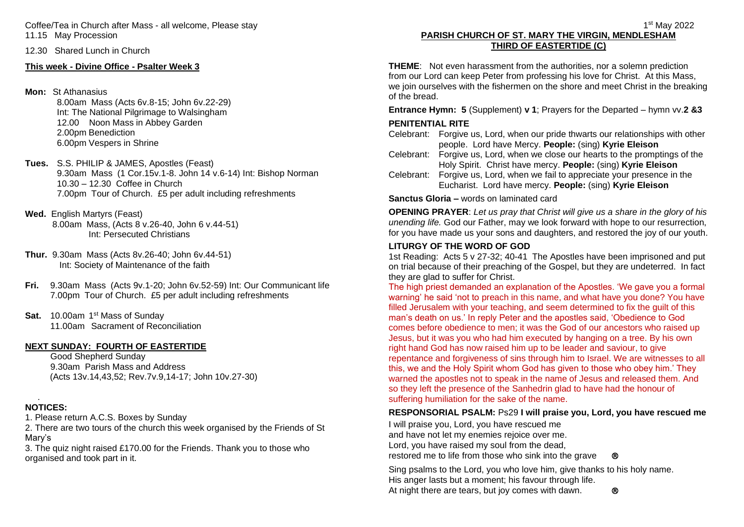Coffee/Tea in Church after Mass - all welcome, Please stay 11.15 May Procession

12.30 Shared Lunch in Church

# **This week - Divine Office - Psalter Week 3**

# **Mon:** St Athanasius

8.00am Mass (Acts 6v.8-15; John 6v.22-29) Int: The National Pilgrimage to Walsingham 12.00 Noon Mass in Abbey Garden 2.00pm Benediction 6.00pm Vespers in Shrine

- **Tues.** S.S. PHILIP & JAMES, Apostles (Feast) 9.30am Mass (1 Cor.15v.1-8. John 14 v.6-14) Int: Bishop Norman 10.30 – 12.30 Coffee in Church 7.00pm Tour of Church. £5 per adult including refreshments
- **Wed.** English Martyrs (Feast)

 8.00am Mass, (Acts 8 v.26-40, John 6 v.44-51) Int: Persecuted Christians

- **Thur.** 9.30am Mass (Acts 8v.26-40; John 6v.44-51) Int: Society of Maintenance of the faith
- **Fri.** 9.30am Mass (Acts 9v.1-20; John 6v.52-59) Int: Our Communicant life 7.00pm Tour of Church. £5 per adult including refreshments
- Sat. 10.00am 1<sup>st</sup> Mass of Sunday 11.00am Sacrament of Reconciliation

### **NEXT SUNDAY: FOURTH OF EASTERTIDE**

Good Shepherd Sunday 9.30am Parish Mass and Address (Acts 13v.14,43,52; Rev.7v.9,14-17; John 10v.27-30)

#### . **NOTICES:**

1. Please return A.C.S. Boxes by Sunday

2. There are two tours of the church this week organised by the Friends of St Mary's

3. The quiz night raised £170.00 for the Friends. Thank you to those who organised and took part in it.

#### 1 st May 2022 **PARISH CHURCH OF ST. MARY THE VIRGIN, MENDLESHAM THIRD OF EASTERTIDE (C)**

**THEME**: Not even harassment from the authorities, nor a solemn prediction from our Lord can keep Peter from professing his love for Christ. At this Mass, we join ourselves with the fishermen on the shore and meet Christ in the breaking of the bread.

**Entrance Hymn: 5** (Supplement) **v 1**; Prayers for the Departed – hymn vv.**2 &3**

# **PENITENTIAL RITE**

Celebrant: Forgive us, Lord, when our pride thwarts our relationships with other people. Lord have Mercy. **People:** (sing) **Kyrie Eleison**

Celebrant: Forgive us, Lord, when we close our hearts to the promptings of the Holy Spirit. Christ have mercy. **People:** (sing) **Kyrie Eleison**

Celebrant: Forgive us, Lord, when we fail to appreciate your presence in the Eucharist. Lord have mercy. **People:** (sing) **Kyrie Eleison**

**Sanctus Gloria –** words on laminated card

**OPENING PRAYER**: *Let us pray that Christ will give us a share in the glory of his unending life.* God our Father, may we look forward with hope to our resurrection, for you have made us your sons and daughters, and restored the joy of our youth.

# **LITURGY OF THE WORD OF GOD**

1st Reading: Acts 5 v 27-32; 40-41 The Apostles have been imprisoned and put on trial because of their preaching of the Gospel, but they are undeterred. In fact they are glad to suffer for Christ.

The high priest demanded an explanation of the Apostles. 'We gave you a formal warning' he said 'not to preach in this name, and what have you done? You have filled Jerusalem with your teaching, and seem determined to fix the guilt of this man's death on us.' In reply Peter and the apostles said, 'Obedience to God comes before obedience to men; it was the God of our ancestors who raised up Jesus, but it was you who had him executed by hanging on a tree. By his own right hand God has now raised him up to be leader and saviour, to give repentance and forgiveness of sins through him to Israel. We are witnesses to all this, we and the Holy Spirit whom God has given to those who obey him.' They warned the apostles not to speak in the name of Jesus and released them. And so they left the presence of the Sanhedrin glad to have had the honour of suffering humiliation for the sake of the name.

# **RESPONSORIAL PSALM:** Ps29 **I will praise you, Lord, you have rescued me**

I will praise you, Lord, you have rescued me and have not let my enemies rejoice over me. Lord, you have raised my soul from the dead, restored me to life from those who sink into the grave  $\otimes$ 

Sing psalms to the Lord, you who love him, give thanks to his holy name. His anger lasts but a moment; his favour through life. At night there are tears, but joy comes with dawn.  $\otimes$